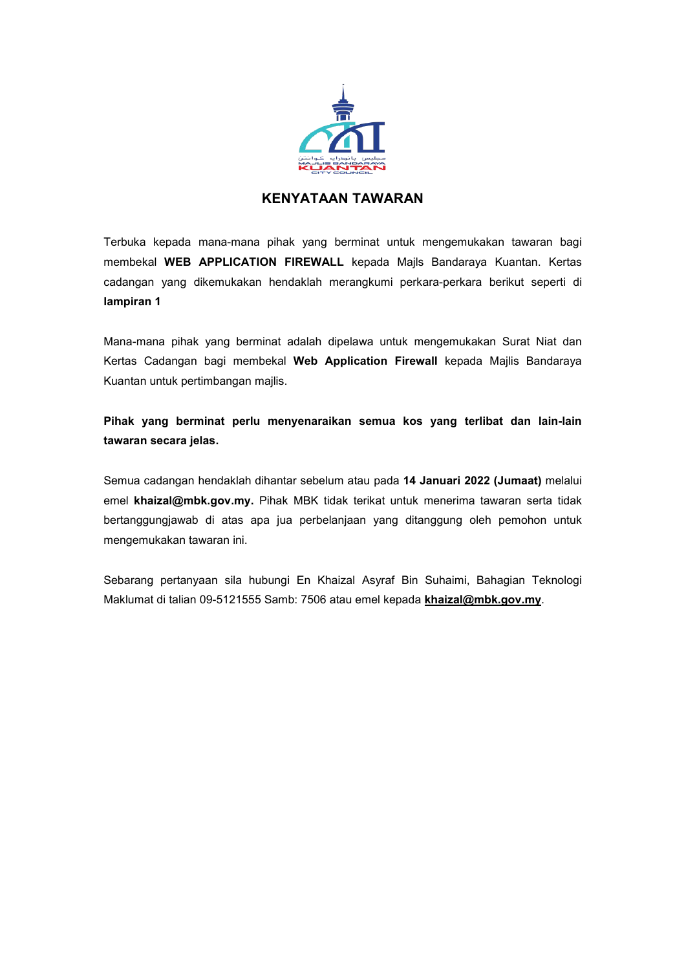

## **KENYATAAN TAWARAN**

Terbuka kepada mana-mana pihak yang berminat untuk mengemukakan tawaran bagi membekal **WEB APPLICATION FIREWALL** kepada Majls Bandaraya Kuantan. Kertas cadangan yang dikemukakan hendaklah merangkumi perkara-perkara berikut seperti di **lampiran 1**

Mana-mana pihak yang berminat adalah dipelawa untuk mengemukakan Surat Niat dan Kertas Cadangan bagi membekal **Web Application Firewall** kepada Majlis Bandaraya Kuantan untuk pertimbangan majlis.

**Pihak yang berminat perlu menyenaraikan semua kos yang terlibat dan lain-lain tawaran secara jelas.**

Semua cadangan hendaklah dihantar sebelum atau pada **14 Januari2022 (Jumaat)** melalui emel **khaizal@mbk.gov.my.** Pihak MBK tidak terikat untuk menerima tawaran serta tidak bertanggungjawab di atas apa jua perbelanjaan yang ditanggung oleh pemohon untuk mengemukakan tawaran ini.

Sebarang pertanyaan sila hubungi En Khaizal Asyraf Bin Suhaimi, Bahagian Teknologi Maklumat ditalian 09-5121555 Samb: 7506 atau emel kepada **[khaizal@mbk.gov.my](mailto:khaizal@mbk.gov.my)**.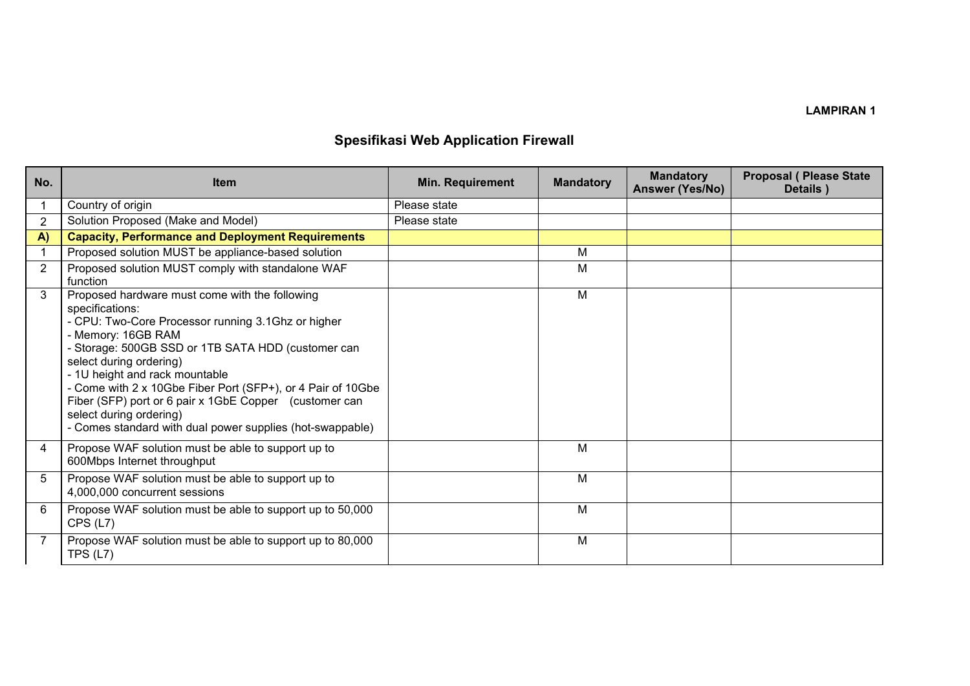## **LAMPIRAN 1**

## **Spesifikasi Web Application Firewall**

| No.            | <b>Item</b>                                                                                                                                                                                                                                                                                                                                                                                                                                                                       | <b>Min. Requirement</b> | <b>Mandatory</b> | <b>Mandatory</b><br>Answer (Yes/No) | <b>Proposal ( Please State</b><br>Details) |
|----------------|-----------------------------------------------------------------------------------------------------------------------------------------------------------------------------------------------------------------------------------------------------------------------------------------------------------------------------------------------------------------------------------------------------------------------------------------------------------------------------------|-------------------------|------------------|-------------------------------------|--------------------------------------------|
|                | Country of origin                                                                                                                                                                                                                                                                                                                                                                                                                                                                 | Please state            |                  |                                     |                                            |
| $\overline{2}$ | Solution Proposed (Make and Model)                                                                                                                                                                                                                                                                                                                                                                                                                                                | Please state            |                  |                                     |                                            |
| A)             | <b>Capacity, Performance and Deployment Requirements</b>                                                                                                                                                                                                                                                                                                                                                                                                                          |                         |                  |                                     |                                            |
|                | Proposed solution MUST be appliance-based solution                                                                                                                                                                                                                                                                                                                                                                                                                                |                         | M                |                                     |                                            |
| $\overline{2}$ | Proposed solution MUST comply with standalone WAF<br>function                                                                                                                                                                                                                                                                                                                                                                                                                     |                         | М                |                                     |                                            |
| 3              | Proposed hardware must come with the following<br>specifications:<br>- CPU: Two-Core Processor running 3.1Ghz or higher<br>- Memory: 16GB RAM<br>- Storage: 500GB SSD or 1TB SATA HDD (customer can<br>select during ordering)<br>- 1U height and rack mountable<br>- Come with 2 x 10Gbe Fiber Port (SFP+), or 4 Pair of 10Gbe<br>Fiber (SFP) port or 6 pair x 1GbE Copper (customer can<br>select during ordering)<br>- Comes standard with dual power supplies (hot-swappable) |                         | M                |                                     |                                            |
| 4              | Propose WAF solution must be able to support up to<br>600Mbps Internet throughput                                                                                                                                                                                                                                                                                                                                                                                                 |                         | M                |                                     |                                            |
| 5              | Propose WAF solution must be able to support up to<br>4,000,000 concurrent sessions                                                                                                                                                                                                                                                                                                                                                                                               |                         | M                |                                     |                                            |
| 6              | Propose WAF solution must be able to support up to 50,000<br>CPS (L7)                                                                                                                                                                                                                                                                                                                                                                                                             |                         | M                |                                     |                                            |
| 7              | Propose WAF solution must be able to support up to 80,000<br>TPS $(L7)$                                                                                                                                                                                                                                                                                                                                                                                                           |                         | M                |                                     |                                            |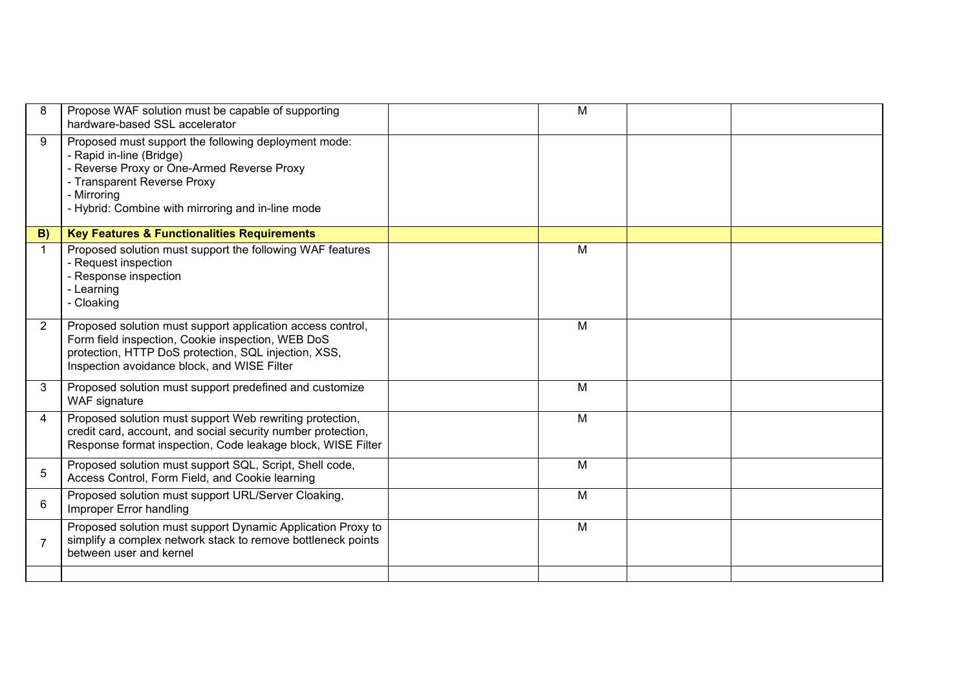| 8              | Propose WAF solution must be capable of supporting<br>hardware-based SSL accelerator                                                                                                                                              | M |  |
|----------------|-----------------------------------------------------------------------------------------------------------------------------------------------------------------------------------------------------------------------------------|---|--|
| 9              | Proposed must support the following deployment mode:<br>- Rapid in-line (Bridge)<br>- Reverse Proxy or One-Armed Reverse Proxy<br>- Transparent Reverse Proxy<br>- Mirroring<br>- Hybrid: Combine with mirroring and in-line mode |   |  |
| B)             | <b>Key Features &amp; Functionalities Requirements</b>                                                                                                                                                                            |   |  |
| $\mathbf{1}$   | Proposed solution must support the following WAF features<br>- Request inspection<br>- Response inspection<br>- Learning<br>- Cloaking                                                                                            | M |  |
| $\overline{2}$ | Proposed solution must support application access control,<br>Form field inspection, Cookie inspection, WEB DoS<br>protection, HTTP DoS protection, SQL injection, XSS,<br>Inspection avoidance block, and WISE Filter            | M |  |
| 3              | Proposed solution must support predefined and customize<br>WAF signature                                                                                                                                                          | M |  |
| 4              | Proposed solution must support Web rewriting protection,<br>credit card, account, and social security number protection,<br>Response format inspection, Code leakage block, WISE Filter                                           | M |  |
| 5              | Proposed solution must support SQL, Script, Shell code,<br>Access Control, Form Field, and Cookie learning                                                                                                                        | M |  |
| 6              | Proposed solution must support URL/Server Cloaking,<br>Improper Error handling                                                                                                                                                    | M |  |
| $\overline{7}$ | Proposed solution must support Dynamic Application Proxy to<br>simplify a complex network stack to remove bottleneck points<br>between user and kernel                                                                            | M |  |
|                |                                                                                                                                                                                                                                   |   |  |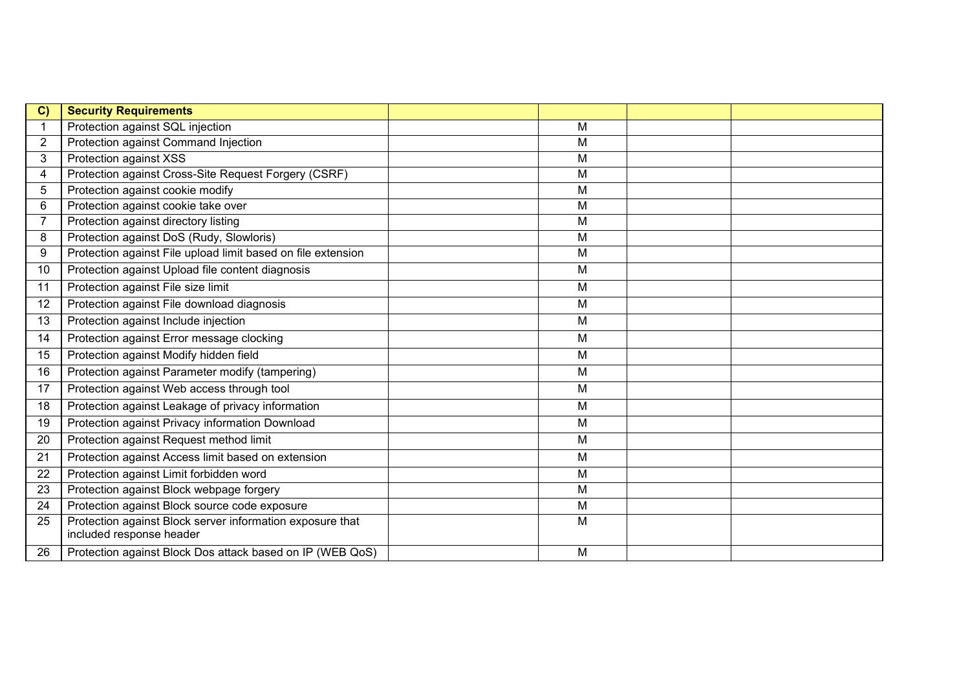| C)             | <b>Security Requirements</b>                                                          |   |  |
|----------------|---------------------------------------------------------------------------------------|---|--|
|                | Protection against SQL injection                                                      | M |  |
| 2              | Protection against Command Injection                                                  | M |  |
| $\mathbf{3}$   | Protection against XSS                                                                | M |  |
| $\overline{4}$ | Protection against Cross-Site Request Forgery (CSRF)                                  | M |  |
| 5              | Protection against cookie modify                                                      | M |  |
| 6              | Protection against cookie take over                                                   | M |  |
| 7              | Protection against directory listing                                                  | M |  |
| 8              | Protection against DoS (Rudy, Slowloris)                                              | M |  |
| 9              | Protection against File upload limit based on file extension                          | M |  |
| 10             | Protection against Upload file content diagnosis                                      | M |  |
| 11             | Protection against File size limit                                                    | M |  |
| 12             | Protection against File download diagnosis                                            | M |  |
| 13             | Protection against Include injection                                                  | M |  |
| 14             | Protection against Error message clocking                                             | M |  |
| 15             | Protection against Modify hidden field                                                | M |  |
| 16             | Protection against Parameter modify (tampering)                                       | M |  |
| 17             | Protection against Web access through tool                                            | M |  |
| 18             | Protection against Leakage of privacy information                                     | M |  |
| 19             | Protection against Privacy information Download                                       | M |  |
| 20             | Protection against Request method limit                                               | M |  |
| 21             | Protection against Access limit based on extension                                    | M |  |
| 22             | Protection against Limit forbidden word                                               | M |  |
| 23             | Protection against Block webpage forgery                                              | M |  |
| 24             | Protection against Block source code exposure                                         | M |  |
| 25             | Protection against Block server information exposure that<br>included response header | M |  |
| 26             | Protection against Block Dos attack based on IP (WEB QoS)                             | M |  |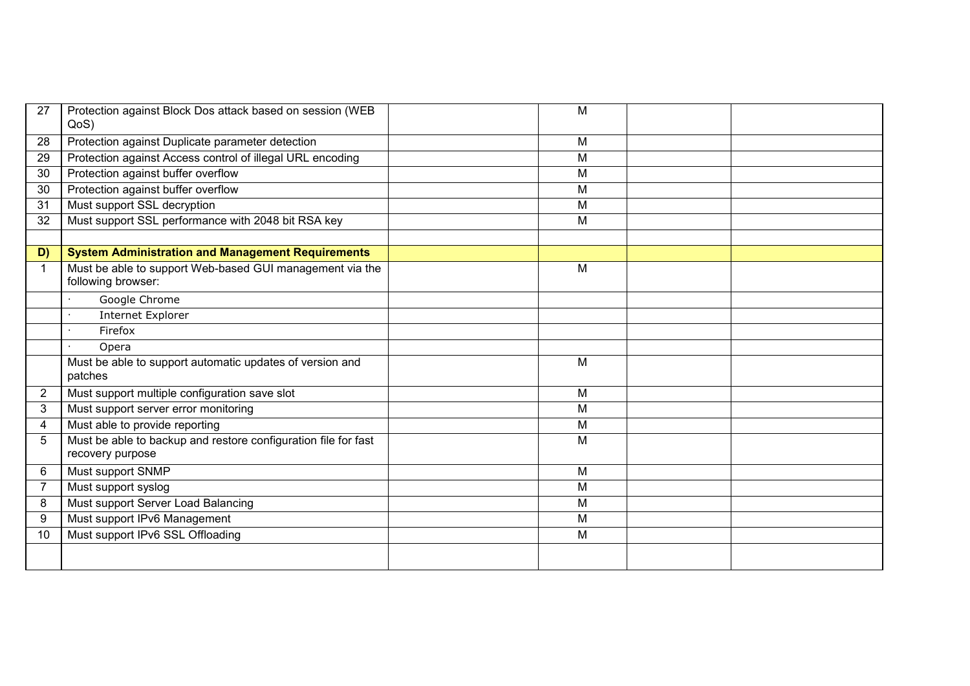| 27             | Protection against Block Dos attack based on session (WEB<br>QoS)                  | M |  |
|----------------|------------------------------------------------------------------------------------|---|--|
| 28             | Protection against Duplicate parameter detection                                   | M |  |
| 29             | Protection against Access control of illegal URL encoding                          | M |  |
| 30             | Protection against buffer overflow                                                 | M |  |
| 30             | Protection against buffer overflow                                                 | M |  |
| 31             | Must support SSL decryption                                                        | M |  |
| 32             | Must support SSL performance with 2048 bit RSA key                                 | M |  |
|                |                                                                                    |   |  |
| D)             | <b>System Administration and Management Requirements</b>                           |   |  |
| $\mathbf 1$    | Must be able to support Web-based GUI management via the<br>following browser:     | M |  |
|                | Google Chrome                                                                      |   |  |
|                | <b>Internet Explorer</b>                                                           |   |  |
|                | Firefox                                                                            |   |  |
|                | Opera                                                                              |   |  |
|                | Must be able to support automatic updates of version and<br>patches                | M |  |
| $\overline{2}$ | Must support multiple configuration save slot                                      | M |  |
| 3              | Must support server error monitoring                                               | M |  |
| 4              | Must able to provide reporting                                                     | M |  |
| 5              | Must be able to backup and restore configuration file for fast<br>recovery purpose | M |  |
| 6              | Must support SNMP                                                                  | M |  |
| $\overline{7}$ | Must support syslog                                                                | M |  |
| 8              | Must support Server Load Balancing                                                 | M |  |
| 9              | Must support IPv6 Management                                                       | M |  |
| 10             | Must support IPv6 SSL Offloading                                                   | M |  |
|                |                                                                                    |   |  |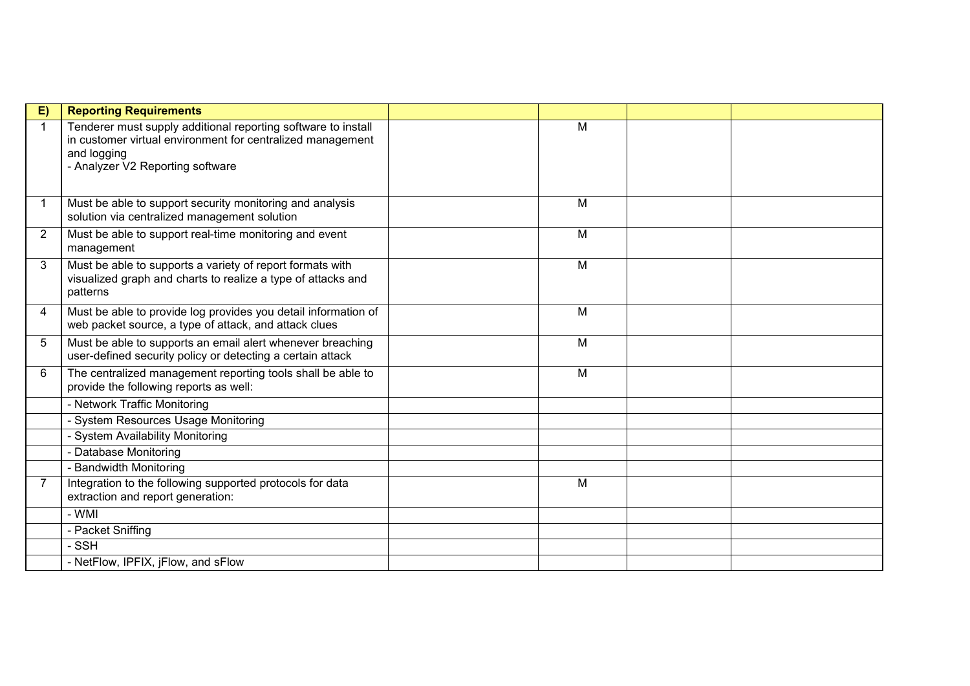| E)             | <b>Reporting Requirements</b>                                                                                                                                                  |   |  |
|----------------|--------------------------------------------------------------------------------------------------------------------------------------------------------------------------------|---|--|
| 1              | Tenderer must supply additional reporting software to install<br>in customer virtual environment for centralized management<br>and logging<br>- Analyzer V2 Reporting software | M |  |
| 1              | Must be able to support security monitoring and analysis<br>solution via centralized management solution                                                                       | M |  |
| $\overline{2}$ | Must be able to support real-time monitoring and event<br>management                                                                                                           | M |  |
| 3              | Must be able to supports a variety of report formats with<br>visualized graph and charts to realize a type of attacks and<br>patterns                                          | M |  |
| 4              | Must be able to provide log provides you detail information of<br>web packet source, a type of attack, and attack clues                                                        | M |  |
| 5              | Must be able to supports an email alert whenever breaching<br>user-defined security policy or detecting a certain attack                                                       | M |  |
| 6              | The centralized management reporting tools shall be able to<br>provide the following reports as well:                                                                          | M |  |
|                | - Network Traffic Monitoring                                                                                                                                                   |   |  |
|                | - System Resources Usage Monitoring                                                                                                                                            |   |  |
|                | - System Availability Monitoring                                                                                                                                               |   |  |
|                | - Database Monitoring                                                                                                                                                          |   |  |
|                | - Bandwidth Monitoring                                                                                                                                                         |   |  |
| $\overline{7}$ | Integration to the following supported protocols for data<br>extraction and report generation:                                                                                 | M |  |
|                | - WMI                                                                                                                                                                          |   |  |
|                | - Packet Sniffing                                                                                                                                                              |   |  |
|                | - SSH                                                                                                                                                                          |   |  |
|                | - NetFlow, IPFIX, jFlow, and sFlow                                                                                                                                             |   |  |